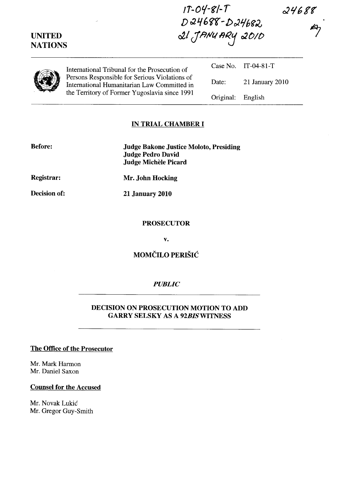24688<br>A

| <b>UNITED</b><br><b>NATIONS</b> |                                                                                                                                               | 21 JANUARY 2010 |                     |  |
|---------------------------------|-----------------------------------------------------------------------------------------------------------------------------------------------|-----------------|---------------------|--|
|                                 | International Tribunal for the Prosecution of                                                                                                 |                 | Case No. IT-04-81-T |  |
|                                 | Persons Responsible for Serious Violations of<br>International Humanitarian Law Committed in<br>the Territory of Former Yugoslavia since 1991 | Date:           | $21$ January $2010$ |  |
|                                 |                                                                                                                                               | Original:       | English             |  |

 $1T-04-S1-T$ 

D 24688 - D 24682.

### IN TRIAL CHAMBER I

| <b>Before:</b>    | Judge Bakone Justice Moloto, Presiding<br><b>Judge Pedro David</b><br>Judge Michèle Picard |
|-------------------|--------------------------------------------------------------------------------------------|
| <b>Registrar:</b> | Mr. John Hocking                                                                           |

Decision of:

21 January 2010

#### **PROSECUTOR**

v.

MOMČILO PERIŠIĆ

#### *PUBLIC*

### DECISION ON PROSECUTION MOTION TO ADD GARRY SELSKY AS A *92BISWITNESS*

## The Office of the Prosecutor

Mr. Mark Harmon Mr. Daniel Saxon

#### Counsel for the Accused

Mr. Novak Lukić Mr. Gregor Guy-Smith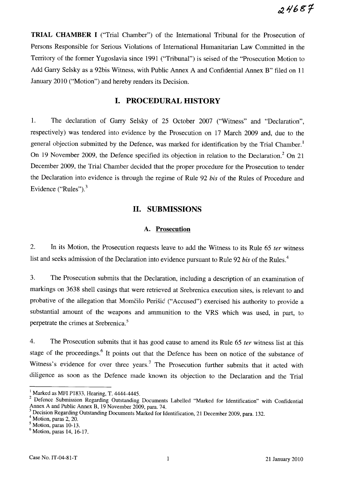**TRIAL CHAMBER I** ("Trial Chamber") of the International Tribunal for the Prosecution of Persons Responsible for Serious Violations of International Humanitarian Law Committed in the Territory of the fonner Yugoslavia since 1991 ("Tribunal") is seised of the "Prosecution Motion to Add Garry Selsky as a 92bis Witness, with Public Annex A and Confidential Annex B" filed on 11 January 2010 ("Motion") and hereby renders its Decision.

### **I. PROCEDURAL HISTORY**

1. The declaration of Garry Selsky of 25 October 2007 ("Witness" and "Declaration", respectively) was tendered into evidence by the Prosecution on 17 March 2009 and, due to the general objection submitted by the Defence, was marked for identification by the Trial Chamber.<sup>1</sup> On 19 November 2009, the Defence specified its objection in relation to the Declaration.<sup>2</sup> On 21 December 2009, the Trial Chamber decided that the proper procedure for the Prosecution to tender the Declaration into evidence is through the regime of Rule 92 *his* of the Rules of Procedure and Evidence ("Rules"). $3$ 

## **11. SUBMISSIONS**

#### A. **Prosecution**

2. In its Motion, the Prosecution requests leave to add the Witness to its Rule 65 *ter* witness list and seeks admission of the Declaration into evidence pursuant to Rule 92 *bis* of the Rules.<sup>4</sup>

3. The Prosecution submits that the Declaration, including a description of an examination of markings on 3638 shell casings that were retrieved at Srebrenica execution sites, is relevant to and probative of the allegation that Momčilo Perišić ("Accused") exercised his authority to provide a substantial amount of the weapons and ammunition to the VRS which was used, in part, to perpetrate the crimes at Srebrenica.<sup>5</sup>

4. The Prosecution submits that it has good cause to amend its Rule 65 *ter* witness list at this stage of the proceedings.<sup>6</sup> It points out that the Defence has been on notice of the substance of Witness's evidence for over three years.<sup>7</sup> The Prosecution further submits that it acted with diligence as soon as the Defence made known its objection to the Declaration and the Trial

<sup>&</sup>lt;sup>1</sup> Marked as MFI P1833, Hearing, T. 4444-4445.

<sup>2</sup> Defence Submission Regarding Outstanding Documents Labelled "Marked for Identification" with Confidential Annex A and Public Annex B, 19 November 2009, para. 74.

<sup>3</sup> Decision Regarding Outstanding Documents Marked for Identification, 21 December 2009, para. 132.

<sup>&</sup>lt;sup>4</sup> Motion, paras 2, 20.

<sup>5</sup> Motion, paras 10-13.

 $<sup>6</sup>$  Motion, paras 14, 16-17.</sup>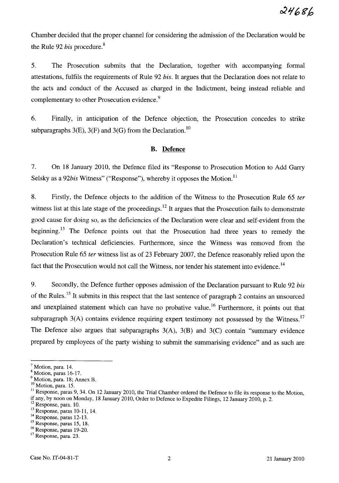Chamber decided that the proper channel for considering the admission of the Declaration would be the Rule 92 *bis* procedure.<sup>8</sup>

5. The Prosecution submits that the Declaration, together with accompanymg formal attestations, fulfils the requirements of Rule 92 *bis.* It argues that the Declaration does not relate to the acts and conduct of the Accused as charged in the Indictment, being instead reliable and complementary to other Prosecution evidence. <sup>9</sup>

6. Finally, in anticipation of the Defence objection, the Prosecution concedes to strike subparagraphs  $3(E)$ ,  $3(F)$  and  $3(G)$  from the Declaration.<sup>10</sup>

#### **B. Defence**

7. On 18 January 2010, the Defence filed its "Response to Prosecution Motion to Add Garry Selsky as a 92*bis* Witness" ("Response"), whereby it opposes the Motion.<sup>11</sup>

8. Firstly, the Defence objects to the addition of the Witness to the Prosecution Rule 65 *ter*  witness list at this late stage of the proceedings.<sup>12</sup> It argues that the Prosecution fails to demonstrate good cause for doing so, as the deficiencies of the Declaration were clear and self-evident from the beginning.<sup>13</sup> The Defence points out that the Prosecution had three years to remedy the Declaration's technical deficiencies. Furthermore, since the Witness was removed from the Prosecution Rule 65 *ter* witness list as of 23 February 2007, the Defence reasonably relied upon the fact that the Prosecution would not call the Witness, nor tender his statement into evidence.<sup>14</sup>

9. Secondly, the Defence further opposes admission of the Declaration pursuant to Rule 92 *bis*  of the Rules. 15 It submits in this respect that the last sentence of paragraph 2 contains an unsourced and unexplained statement which can have no probative value.<sup>16</sup> Furthermore, it points out that subparagraph  $3(A)$  contains evidence requiring expert testimony not possessed by the Witness.<sup>17</sup> The Defence also argues that subparagraphs  $3(A)$ ,  $3(B)$  and  $3(C)$  contain "summary evidence prepared by employees of the party wishing to submit the summarising evidence" and as such are

 $<sup>7</sup>$  Motion, para. 14.</sup>

<sup>8</sup> Motion, paras 16-17.

<sup>9</sup> Motion, para. 18; Annex B. <sup>10</sup> Motion, para. 15.

<sup>&</sup>lt;sup>11</sup> Response, paras 9, 34. On 12 January 2010, the Trial Chamber ordered the Defence to file its response to the Motion, if any, by noon on Monday, 18 January 2010, Order to Defence to Expedite Filings, 12 January 2010, p. 2.

<sup>&</sup>lt;sup>12</sup> Response, para. 10.

<sup>13</sup> Response, paras 10-11, 14.

<sup>&</sup>lt;sup>14</sup> Response, paras 12-13.

<sup>15</sup> Response, paras 15, 18.

<sup>16</sup> Response, paras 19-20.

<sup>17</sup> Response, para. 23.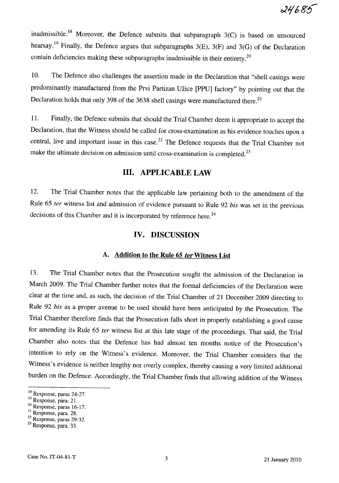inadmissible.<sup>18</sup> Moreover, the Defence submits that subparagraph  $3(C)$  is based on unsourced hearsay.<sup>19</sup> Finally, the Defence argues that subparagraphs  $3(E)$ ,  $3(F)$  and  $3(G)$  of the Declaration contain deficiencies making these subparagraphs inadmissible in their entirety.2o

10. The Defence also challenges the assertion made in the Declaration that "shell casings were predominantly manufactured from the Prvi Partizan Uzice [PPU] factory" by pointing out that the Declaration holds that only 398 of the 3638 shell casings were manufactured there.<sup>21</sup>

11. Finally, the Defence submits that should the Trial Chamber deem it appropriate to accept the Declaration, that the Witness should be called for cross-examination as his evidence touches upon a central, live and important issue in this case. 22 The Defence requests that the Trial Chamber not make the ultimate decision on admission until cross-examination is completed.<sup>23</sup>

# **Ill. APPLICABLE LAW**

12. The Trial Chamber notes that the applicable law pertaining both to the amendment of the Rule 65 *ter* witness list and admission of evidence pursuant to Rule 92 *his* was set in the previous decisions of this Chamber and it is incorporated by reference here.<sup>24</sup>

## **IV. DISCUSSION**

## A. Addition to the Rule 65 *ter* Witness List

13. The Trial Chamber notes that the Prosecution sought the admission of the Declaration in March 2009. The Trial Chamber further notes that the formal deficiencies of the Declaration were clear at the time and, as such, the decision of the Trial Chamber of 21 December 2009 directing to Rule 92 *his* as a proper avenue to be used should have been anticipated by the Prosecution. The Trial Chamber therefore finds that the Prosecution falls short in properly establishing a good cause for amending its Rule 65 *ter* witness list at this late stage of the proceedings. That said, the Trial Chamber also notes that the Defence has had almost ten months notice of the Prosecution's intention to rely on the Witness's evidence. Moreover, the Trial Chamber considers that the Witness's evidence is neither lengthy nor overly complex, thereby causing a very limited additional burden on the Defence. Accordingly, the Trial Chamber finds that allowing addition of the Witness

19 Response, para. 21.

<sup>18</sup> Response, paras 24-27.

<sup>20</sup> Response, paras 16-17.

 $21$ Response, para. 28.

 $\frac{22}{22}$  Response, paras 29-32.

<sup>&</sup>lt;sup>23</sup> Response, para. 33.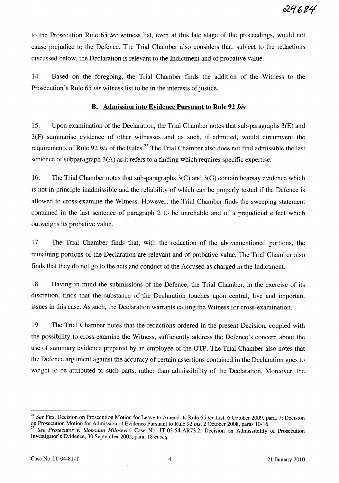to the Prosecution Rule 65 *ter* witness list, even at this late stage of the proceedings, would not cause prejudice to the Defence. The Trial Chamber also considers that, subject to the redactions discussed below, the Declaration is relevant to the Indictment and of probative value.

14. Based on the foregoing, the Trial Chamber finds the addition of the Witness to the Prosecution's Rule 65 *ter* witness list to be in the interests of justice.

### **B. Admission into Evidence Pursuant to Rule 92** *his*

15. Upon examination of the Declaration, the Trial Chamber notes that sub-paragraphs 3(E) and 3(F) summarise evidence of other witnesses and as such, if admitted, would circumvent the requirements of Rule 92 *bis* of the Rules.<sup>25</sup> The Trial Chamber also does not find admissible the last sentence of subparagraph 3(A) as it refers to a finding which requires specific expertise.

16. The Trial Chamber notes that sub-paragraphs  $3(C)$  and  $3(G)$  contain hearsay evidence which is not in principle inadmissible and the reliability of which can be properly tested if the Defence is allowed to cross-examine the Witness. However, the Trial Chamber finds the sweeping statement contained in the last sentence of paragraph 2 to be unreliable and of a prejudicial effect which outweighs its probative value.

17. The Trial Chamber finds that, with the redaction of the abovementioned portions, the remaining portions of the Declaration are relevant and of probative value. The Trial Chamber also finds that they do not go to the acts and conduct of the Accused as charged in the Indictment.

18. Having in mind the submissions of the Defence, the Trial Chamber, in the exercise of its discretion, finds that the substance of the Declaration touches upon central, live and important issues in this case. As such, the Declaration warrants calling the Witness for cross-examination.

19. The Trial Chamber notes that the redactions ordered in the present Decision, coupled with the possibility to cross-examine the Witness, sufficiently address the Defence's concern about the use of summary evidence prepared by an employee of the OTP. The Trial Chamber also notes that the Defence argument against the accuracy of certain assertions contained in the Declaration goes to weight to be attributed to such parts, rather than admissibility of the Declaration. Moreover, the

*<sup>24</sup> See* First Decision on Prosecution Motion for Leave to Amend its Rule 65 *ter* List, 6 October 2009, para. 7; Decision on Prosecution Motion for Admission of Evidence Pursuant to Rule 92 *his,* 2 October 2008, paras 10-16.

*<sup>25</sup> See Prosecutor* v. *Slobodan Milosevic,* Case No. IT-02-54-AR73.2, Decision on Admissibility of Prosecution Investigator's Evidence, 30 September 2002, para. 18 *et seq.*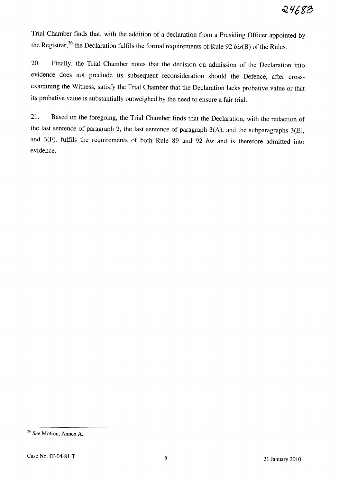Trial Chamber finds that, with the addition of a declaration from a Presiding Officer appointed by the Registrar,<sup>26</sup> the Declaration fulfils the formal requirements of Rule 92 *bis(B)* of the Rules.

20. Finally, the Trial Chamber notes that the decision on admission of the Declaration into evidence does not preclude its subsequent reconsideration should the Defence, after crossexamining the Witness, satisfy the Trial Chamber that the Declaration lacks probative value or that its probative value is substantially outweighed by the need to ensure a fair trial.

21. Based on the foregoing, the Trial Chamber finds that the Declaration, with the redaction of the last sentence of paragraph 2, the last sentence of paragraph 3(A), and the subparagraphs 3(E), and  $3(F)$ , fulfils the requirements of both Rule 89 and 92 bis and is therefore admitted into evidence.

*<sup>26</sup> See* Motion, Annex A.